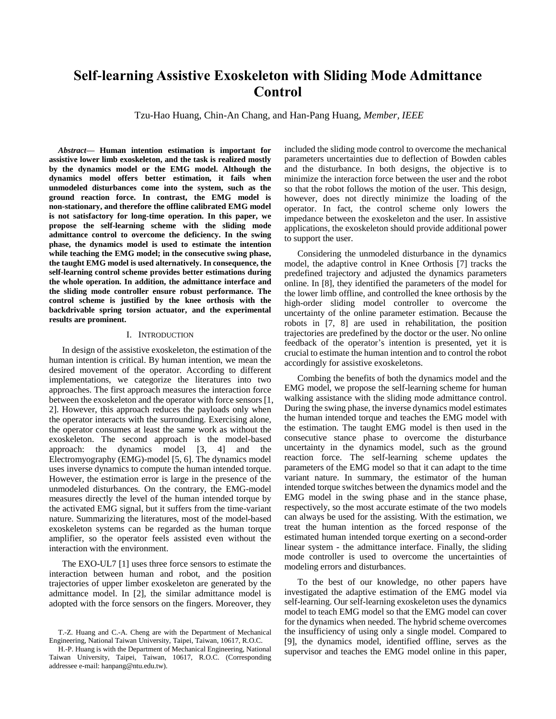# **Self-learning Assistive Exoskeleton with Sliding Mode Admittance Control**

Tzu-Hao Huang, Chin-An Chang, and Han-Pang Huang, *Member, IEEE*

*Abstract***— Human intention estimation is important for assistive lower limb exoskeleton, and the task is realized mostly by the dynamics model or the EMG model. Although the dynamics model offers better estimation, it fails when unmodeled disturbances come into the system, such as the ground reaction force. In contrast, the EMG model is non-stationary, and therefore the offline calibrated EMG model is not satisfactory for long-time operation. In this paper, we propose the self-learning scheme with the sliding mode admittance control to overcome the deficiency. In the swing phase, the dynamics model is used to estimate the intention while teaching the EMG model; in the consecutive swing phase, the taught EMG model is used alternatively. In consequence, the self-learning control scheme provides better estimations during the whole operation. In addition, the admittance interface and the sliding mode controller ensure robust performance. The control scheme is justified by the knee orthosis with the backdrivable spring torsion actuator, and the experimental results are prominent.**

#### I. INTRODUCTION

In design of the assistive exoskeleton, the estimation of the human intention is critical. By human intention, we mean the desired movement of the operator. According to different implementations, we categorize the literatures into two approaches. The first approach measures the interaction force between the exoskeleton and the operator with force sensors[\[1,](#page-5-0) [2\]](#page-5-1). However, this approach reduces the payloads only when the operator interacts with the surrounding. Exercising alone, the operator consumes at least the same work as without the exoskeleton. The second approach is the model-based approach: the dynamics model [\[3,](#page-5-2) [4\]](#page-5-3) and the Electromyography (EMG)-model [\[5,](#page-5-4) [6\]](#page-5-5). The dynamics model uses inverse dynamics to compute the human intended torque. However, the estimation error is large in the presence of the unmodeled disturbances. On the contrary, the EMG-model measures directly the level of the human intended torque by the activated EMG signal, but it suffers from the time-variant nature. Summarizing the literatures, most of the model-based exoskeleton systems can be regarded as the human torque amplifier, so the operator feels assisted even without the interaction with the environment.

The EXO-UL7 [\[1\]](#page-5-0) uses three force sensors to estimate the interaction between human and robot, and the position trajectories of upper limber exoskeleton are generated by the admittance model. In [\[2\]](#page-5-1), the similar admittance model is adopted with the force sensors on the fingers. Moreover, they

included the sliding mode control to overcome the mechanical parameters uncertainties due to deflection of Bowden cables and the disturbance. In both designs, the objective is to minimize the interaction force between the user and the robot so that the robot follows the motion of the user. This design, however, does not directly minimize the loading of the operator. In fact, the control scheme only lowers the impedance between the exoskeleton and the user. In assistive applications, the exoskeleton should provide additional power to support the user.

Considering the unmodeled disturbance in the dynamics model, the adaptive control in Knee Orthosis [\[7\]](#page-5-6) tracks the predefined trajectory and adjusted the dynamics parameters online. In [\[8\]](#page-5-7), they identified the parameters of the model for the lower limb offline, and controlled the knee orthosis by the high-order sliding model controller to overcome the uncertainty of the online parameter estimation. Because the robots in [\[7,](#page-5-6) [8\]](#page-5-7) are used in rehabilitation, the position trajectories are predefined by the doctor or the user. No online feedback of the operator's intention is presented, yet it is crucial to estimate the human intention and to control the robot accordingly for assistive exoskeletons.

Combing the benefits of both the dynamics model and the EMG model, we propose the self-learning scheme for human walking assistance with the sliding mode admittance control. During the swing phase, the inverse dynamics model estimates the human intended torque and teaches the EMG model with the estimation. The taught EMG model is then used in the consecutive stance phase to overcome the disturbance uncertainty in the dynamics model, such as the ground reaction force. The self-learning scheme updates the parameters of the EMG model so that it can adapt to the time variant nature. In summary, the estimator of the human intended torque switches between the dynamics model and the EMG model in the swing phase and in the stance phase, respectively, so the most accurate estimate of the two models can always be used for the assisting. With the estimation, we treat the human intention as the forced response of the estimated human intended torque exerting on a second-order linear system - the admittance interface. Finally, the sliding mode controller is used to overcome the uncertainties of modeling errors and disturbances.

To the best of our knowledge, no other papers have investigated the adaptive estimation of the EMG model via self-learning. Our self-learning exoskeleton uses the dynamics model to teach EMG model so that the EMG model can cover for the dynamics when needed. The hybrid scheme overcomes the insufficiency of using only a single model. Compared to [\[9\]](#page-5-8), the dynamics model, identified offline, serves as the supervisor and teaches the EMG model online in this paper,

T.-Z. Huang and C.-A. Cheng are with the Department of Mechanical Engineering, National Taiwan University, Taipei, Taiwan, 10617, R.O.C.

H.-P. Huang is with the Department of Mechanical Engineering, National Taiwan University, Taipei, Taiwan, 10617, R.O.C. (Corresponding addressee e-mail: hanpang@ntu.edu.tw).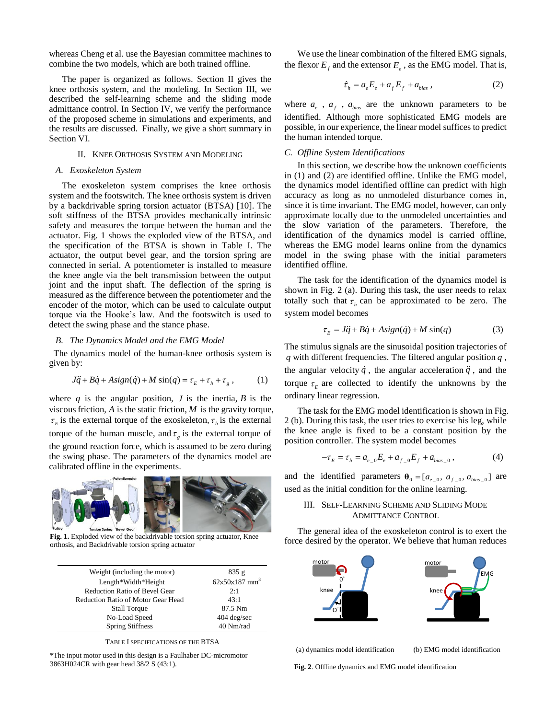whereas Cheng et al. use the Bayesian committee machines to combine the two models, which are both trained offline.

The paper is organized as follows. Section [II](#page-1-0) gives the knee orthosis system, and the modeling. In Section [III,](#page-1-1) we described the self-learning scheme and the sliding mode admittance control. In Section [IV,](#page-4-0) we verify the performance of the proposed scheme in simulations and experiments, and the results are discussed. Finally, we give a short summary in Section [VI.](#page-5-9)

## II. KNEE ORTHOSIS SYSTEM AND MODELING

## <span id="page-1-0"></span>*A. Exoskeleton System*

The exoskeleton system comprises the knee orthosis system and the footswitch. The knee orthosis system is driven by a backdrivable spring torsion actuator (BTSA) [\[10\]](#page-5-10). The soft stiffness of the BTSA provides mechanically intrinsic safety and measures the torque between the human and the actuator. Fig. 1 shows the exploded view of the BTSA, and the specification of the BTSA is shown in Table I. The actuator, the output bevel gear, and the torsion spring are connected in serial. A potentiometer is installed to measure the knee angle via the belt transmission between the output joint and the input shaft. The deflection of the spring is measured as the difference between the potentiometer and the encoder of the motor, which can be used to calculate output torque via the Hooke's law. And the footswitch is used to detect the swing phase and the stance phase.

### *B. The Dynamics Model and the EMG Model*

The dynamics model of the human-knee orthosis system is given by:

$$
J\ddot{q} + B\dot{q} + Asign(\dot{q}) + M\sin(q) = \tau_E + \tau_h + \tau_g , \qquad (1)
$$

where  $q$  is the angular position,  $J$  is the inertia,  $B$  is the viscous friction,  $A$  is the static friction,  $M$  is the gravity torque,  $\tau_{E}$  is the external torque of the exoskeleton,  $\tau_{h}$  is the external torque of the human muscle, and  $\tau<sub>g</sub>$  is the external torque of the ground reaction force, which is assumed to be zero during the swing phase. The parameters of the dynamics model are calibrated offline in the experiments.



**Fig. 1.** Exploded view of the backdrivable torsion spring actuator, Knee orthosis, and Backdrivable torsion spring actuator

| Weight (including the motor)       | 835 g                                 |
|------------------------------------|---------------------------------------|
| Length*Width*Height                | $62\times50\times187$ mm <sup>3</sup> |
| Reduction Ratio of Bevel Gear      | 2:1                                   |
| Reduction Ratio of Motor Gear Head | 43:1                                  |
| <b>Stall Torque</b>                | 87.5 Nm                               |
| No-Load Speed                      | $404 \text{ deg/sec}$                 |
| <b>Spring Stiffness</b>            | 40 Nm/rad                             |
|                                    |                                       |

TABLE I SPECIFICATIONS OF THE BTSA

\*The input motor used in this design is a Faulhaber DC-micromotor 3863H024CR with gear head 38/2 S (43:1).

We use the linear combination of the filtered EMG signals, the flexor  $E_f$  and the extensor  $E_e$ , as the EMG model. That is,

$$
\hat{\tau}_h = a_e E_e + a_f E_f + a_{bias}, \qquad (2)
$$

where  $a_e$ ,  $a_f$ ,  $a_{bias}$  are the unknown parameters to be identified. Although more sophisticated EMG models are possible, in our experience, the linear model suffices to predict the human intended torque.

#### *C. Offline System Identifications*

In this section, we describe how the unknown coefficients in (1) and (2) are identified offline. Unlike the EMG model, the dynamics model identified offline can predict with high accuracy as long as no unmodeled disturbance comes in, since it is time invariant. The EMG model, however, can only approximate locally due to the unmodeled uncertainties and the slow variation of the parameters. Therefore, the identification of the dynamics model is carried offline, whereas the EMG model learns online from the dynamics model in the swing phase with the initial parameters identified offline.

The task for the identification of the dynamics model is shown in Fig. 2 (a). During this task, the user needs to relax totally such that  $\tau_h$  can be approximated to be zero. The system model becomes

$$
\tau_E = J\ddot{q} + B\dot{q} + Asign(\dot{q}) + M\sin(q) \tag{3}
$$

The stimulus signals are the sinusoidal position trajectories of *q* with different frequencies. The filtered angular position *<sup>q</sup>* , the angular velocity  $\dot{q}$ , the angular acceleration  $\ddot{q}$ , and the torque  $\tau_E$  are collected to identify the unknowns by the ordinary linear regression.

The task for the EMG model identification is shown in Fig. 2 (b). During this task, the user tries to exercise his leg, while the knee angle is fixed to be a constant position by the position controller. The system model becomes

$$
-\tau_E = \tau_h = a_{e_0} E_e + a_{f_0} E_f + a_{bias_0}, \qquad (4)
$$

and the identified parameters  $\theta_0 = [a_{e,0}, a_{f,0}, a_{bias,0}]$  are used as the initial condition for the online learning.

## <span id="page-1-1"></span>III. SELF-LEARNING SCHEME AND SLIDING MODE ADMITTANCE CONTROL

The general idea of the exoskeleton control is to exert the force desired by the operator. We believe that human reduces



(a) dynamics model identification (b) EMG model identification

**Fig. 2**. Offline dynamics and EMG model identification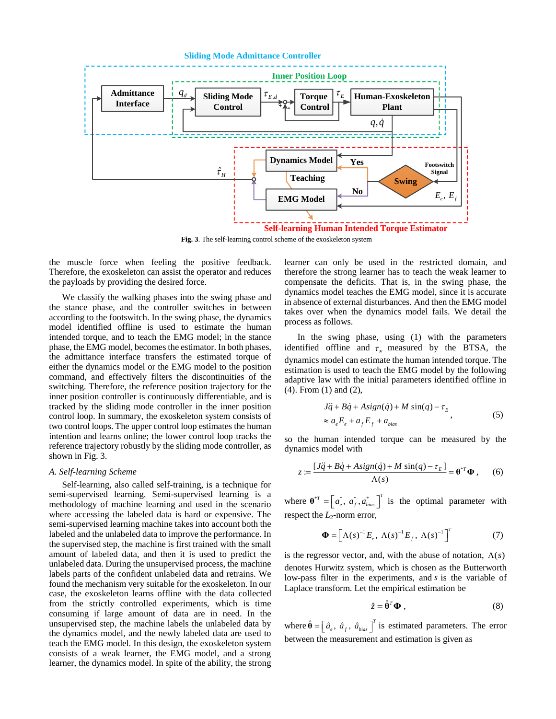

**Fig. 3**. The self-learning control scheme of the exoskeleton system

the muscle force when feeling the positive feedback. Therefore, the exoskeleton can assist the operator and reduces the payloads by providing the desired force.

We classify the walking phases into the swing phase and the stance phase, and the controller switches in between according to the footswitch. In the swing phase, the dynamics model identified offline is used to estimate the human intended torque, and to teach the EMG model; in the stance phase, the EMG model, becomes the estimator. In both phases, the admittance interface transfers the estimated torque of either the dynamics model or the EMG model to the position command, and effectively filters the discontinuities of the switching. Therefore, the reference position trajectory for the inner position controller is continuously differentiable, and is tracked by the sliding mode controller in the inner position control loop. In summary, the exoskeleton system consists of two control loops. The upper control loop estimates the human intention and learns online; the lower control loop tracks the reference trajectory robustly by the sliding mode controller, as shown in Fig. 3.

#### *A. Self-learning Scheme*

Self-learning, also called self-training, is a technique for semi-supervised learning. Semi-supervised learning is a methodology of machine learning and used in the scenario where accessing the labeled data is hard or expensive. The semi-supervised learning machine takes into account both the labeled and the unlabeled data to improve the performance. In the supervised step, the machine is first trained with the small amount of labeled data, and then it is used to predict the unlabeled data. During the unsupervised process, the machine labels parts of the confident unlabeled data and retrains. We found the mechanism very suitable for the exoskeleton. In our case, the exoskeleton learns offline with the data collected from the strictly controlled experiments, which is time consuming if large amount of data are in need. In the unsupervised step, the machine labels the unlabeled data by the dynamics model, and the newly labeled data are used to teach the EMG model. In this design, the exoskeleton system consists of a weak learner, the EMG model, and a strong learner, the dynamics model. In spite of the ability, the strong

learner can only be used in the restricted domain, and therefore the strong learner has to teach the weak learner to compensate the deficits. That is, in the swing phase, the dynamics model teaches the EMG model, since it is accurate in absence of external disturbances. And then the EMG model takes over when the dynamics model fails. We detail the process as follows.

In the swing phase, using (1) with the parameters identified offline and  $\tau_E$  measured by the BTSA, the dynamics model can estimate the human intended torque. The estimation is used to teach the EMG model by the following adaptive law with the initial parameters identified offline in (4). From (1) and (2),

$$
J\ddot{q} + B\dot{q} + Asign(\dot{q}) + M \sin(q) - \tau_E
$$
  
\n
$$
\approx a_e E_e + a_f E_f + a_{bias}
$$
\n(5)

so the human intended torque can be measured by the dynamics model with

$$
z := \frac{[J\ddot{q} + B\dot{q} + Asign(\dot{q}) + M\sin(q) - \tau_E]}{\Lambda(s)} = \mathbf{0}^{*T}\mathbf{\Phi},\qquad(6)
$$

where  $\mathbf{\theta}^{*T} = \begin{vmatrix} a_e^*, a_f^*, a_h^* \end{vmatrix}$  $\mathbf{\theta}^{*T} = \left[ a_e^*, a_f^*, a_{bias}^* \right]^T$  is the optimal parameter with respect the  $L_2$ -norm error,

$$
\mathbf{\Phi} = \left[ \Lambda(s)^{-1} E_e, \ \Lambda(s)^{-1} E_f, \ \Lambda(s)^{-1} \right]^T \tag{7}
$$

is the regressor vector, and, with the abuse of notation,  $\Lambda(s)$ denotes Hurwitz system, which is chosen as the Butterworth low-pass filter in the experiments, and *s* is the variable of Laplace transform. Let the empirical estimation be

$$
\hat{z} = \hat{\boldsymbol{\theta}}^T \boldsymbol{\Phi} \tag{8}
$$

where  $\hat{\theta} = \begin{bmatrix} \hat{a}_e, \hat{a}_f, \hat{a}_{bias} \end{bmatrix}^T$  $\hat{\theta} = \left[\hat{a}_e, \hat{a}_f, \hat{a}_{bias}\right]$  is estimated parameters. The error between the measurement and estimation is given as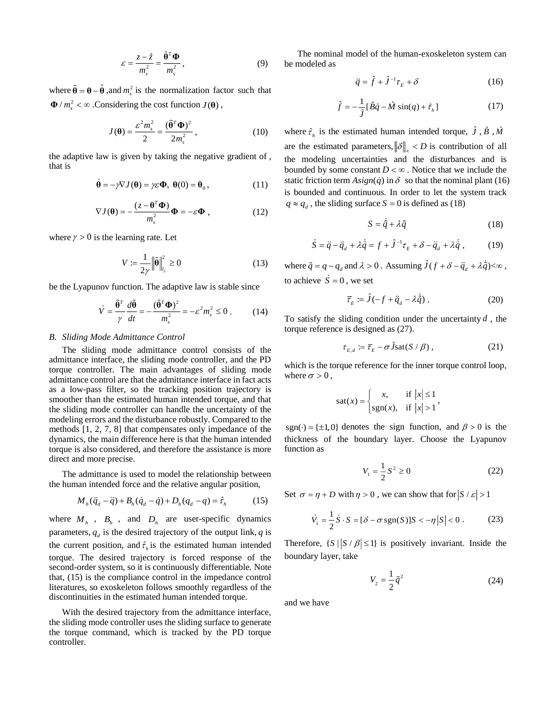$$
\varepsilon = \frac{z - \hat{z}}{m_s^2} = \frac{\tilde{\theta}^T \Phi}{m_s^2},\tag{9}
$$

where  $\tilde{\boldsymbol{\theta}} = \boldsymbol{\theta} - \hat{\boldsymbol{\theta}}$ , and  $m_s^2$  is the normalization factor such that  $\Phi / m_s^2 < \infty$ . Considering the cost function  $J(\theta)$ ,

$$
J(\mathbf{\theta}) = \frac{\varepsilon^2 m_s^2}{2} = \frac{(\tilde{\mathbf{\theta}}^T \mathbf{\Phi})^2}{2m_s^2},
$$
 (10)

the adaptive law is given by taking the negative gradient of , that is

$$
\dot{\mathbf{\theta}} = -\gamma \nabla J(\mathbf{\theta}) = \gamma \varepsilon \mathbf{\Phi}, \ \mathbf{\theta}(0) = \mathbf{\theta}_0, \tag{11}
$$

$$
\nabla J(\mathbf{\theta}) = -\frac{(z - \mathbf{\theta}^T \mathbf{\Phi})}{m_s^2} \mathbf{\Phi} = -\varepsilon \mathbf{\Phi} , \qquad (12)
$$

where  $\gamma > 0$  is the learning rate. Let

$$
V := \frac{1}{2\gamma} \left\| \tilde{\boldsymbol{\theta}} \right\|_{l_2}^2 \ge 0 \tag{13}
$$

be the Lyapunov function. The adaptive law is stable since

$$
\dot{V} = \frac{\tilde{\theta}^T}{\gamma} \frac{d\tilde{\theta}}{dt} = -\frac{(\tilde{\theta}^T \Phi)^2}{m_s^2} = -\varepsilon^2 m_s^2 \le 0 \ . \tag{14}
$$

#### *B. Sliding Mode Admittance Control*

The sliding mode admittance control consists of the admittance interface, the sliding mode controller, and the PD torque controller. The main advantages of sliding mode admittance control are that the admittance interface in fact acts as a low-pass filter, so the tracking position trajectory is smoother than the estimated human intended torque, and that the sliding mode controller can handle the uncertainty of the modeling errors and the disturbance robustly. Compared to the methods [\[1,](#page-5-0) [2,](#page-5-1) [7,](#page-5-6) [8\]](#page-5-7) that compensates only impedance of the dynamics, the main difference here is that the human intended torque is also considered, and therefore the assistance is more direct and more precise.

The admittance is used to model the relationship between the human intended force and the relative angular position,

$$
M_h(\ddot{q}_d - \ddot{q}) + B_h(\dot{q}_d - \dot{q}) + D_h(q_d - q) = \hat{\tau}_h \tag{15}
$$

where  $M_h$ ,  $B_h$ , and  $D_h$  are user-specific dynamics parameters,  $q_d$  is the desired trajectory of the output link,  $q$  is the current position, and  $\hat{\tau}_h$  is the estimated human intended torque. The desired trajectory is forced response of the second-order system, so it is continuously differentiable. Note that, (15) is the compliance control in the impedance control literatures, so exoskeleton follows smoothly regardless of the discontinuities in the estimated human intended torque.

With the desired trajectory from the admittance interface, the sliding mode controller uses the sliding surface to generate the torque command, which is tracked by the PD torque controller.

The nominal model of the human-exoskeleton system can be modeled as

$$
\ddot{q} = \hat{f} + \hat{J}^{-1}\tau_E + \delta \tag{16}
$$

$$
\hat{f} = -\frac{1}{\hat{J}} [\hat{B}\dot{q} - \hat{M}\sin(q) + \hat{\tau}_h]
$$
\n(17)

where  $\hat{\tau}_h$  is the estimated human intended torque,  $\hat{J}$ ,  $\hat{B}$ ,  $\hat{M}$ are the estimated parameters,  $\|\delta\|_{\infty} < D$  is contribution of all the modeling uncertainties and the disturbances and is bounded by some constant  $D < \infty$ . Notice that we include the static friction term  $\text{Asign}(\dot{q})$  in  $\delta$  so that the nominal plant (16) is bounded and continuous. In order to let the system track  $q \approx q_d$ , the sliding surface  $S = 0$  is defined as (18)

$$
S = \dot{\tilde{q}} + \lambda \tilde{q} \tag{18}
$$

$$
\dot{S} = \ddot{q} - \ddot{q}_d + \lambda \dot{\tilde{q}} = f + \hat{J}^{-1} \tau_E + \delta - \ddot{q}_d + \lambda \dot{\tilde{q}} \,,\tag{19}
$$

where  $\tilde{q} = q - q_d$  and  $\lambda > 0$ . Assuming  $\hat{J}(f + \delta - \ddot{q}_d + \lambda \dot{\tilde{q}}) < \infty$ , to achieve  $S = 0$ , we set

$$
\overline{\tau}_{E} := \hat{J}(-f + \ddot{q}_d - \lambda \dot{\tilde{q}}) \,. \tag{20}
$$

To satisfy the sliding condition under the uncertainty *d* , the torque reference is designed as (27).

$$
\tau_{E,d} := \overline{\tau}_E - \sigma \hat{J} \text{sat}(S / \beta) , \qquad (21)
$$

which is the torque reference for the inner torque control loop, where  $\sigma > 0$ ,

$$
sat(x) = \begin{cases} x, & \text{if } |x| \le 1 \\ \text{sgn}(x), & \text{if } |x| > 1 \end{cases}
$$

sgn(·) = { $\pm$ 1,0} denotes the sign function, and  $\beta$  > 0 is the thickness of the boundary layer. Choose the Lyapunov function as

$$
V_1 = \frac{1}{2} S^2 \ge 0 \tag{22}
$$

Set  $\sigma = \eta + D$  with  $\eta > 0$ , we can show that for  $|S / \varepsilon| > 1$ 

$$
\dot{V}_1 = \frac{1}{2}\dot{S} \cdot S = [\delta - \sigma \text{sgn}(S)]S < -\eta |S| < 0.
$$
 (23)

Therefore,  $\{S \mid |S / \beta| \leq 1\}$  is positively invariant. Inside the boundary layer, take

$$
V_2 = \frac{1}{2}\tilde{q}^2\tag{24}
$$

and we have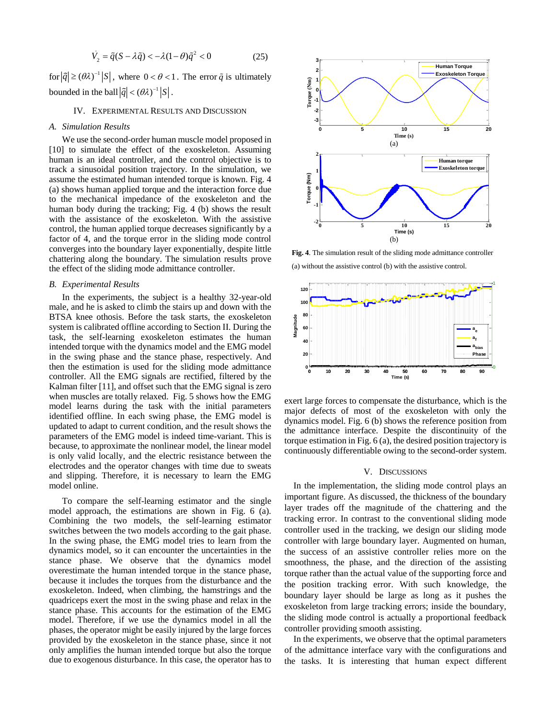$$
\dot{V}_2 = \tilde{q}(S - \lambda \tilde{q}) < -\lambda (1 - \theta)\tilde{q}^2 < 0
$$
\n(25)

for  $|\tilde{q}| \geq (\theta \lambda)^{-1} |S|$ , where  $0 < \theta < 1$ . The error  $\tilde{q}$  is ultimately bounded in the ball  $|\tilde{q}| < (\theta \lambda)^{-1} |S|$ .

## IV. EXPERIMENTAL RESULTS AND DISCUSSION

### <span id="page-4-0"></span>*A. Simulation Results*

We use the second-order human muscle model proposed in [\[10\]](#page-5-10) to simulate the effect of the exoskeleton. Assuming human is an ideal controller, and the control objective is to track a sinusoidal position trajectory. In the simulation, we assume the estimated human intended torque is known. Fig. 4 (a) shows human applied torque and the interaction force due to the mechanical impedance of the exoskeleton and the human body during the tracking; Fig. 4 (b) shows the result with the assistance of the exoskeleton. With the assistive control, the human applied torque decreases significantly by a factor of 4, and the torque error in the sliding mode control converges into the boundary layer exponentially, despite little chattering along the boundary. The simulation results prove the effect of the sliding mode admittance controller.

## *B. Experimental Results*

In the experiments, the subject is a healthy 32-year-old male, and he is asked to climb the stairs up and down with the BTSA knee othosis. Before the task starts, the exoskeleton system is calibrated offline according to Section II. During the task, the self-learning exoskeleton estimates the human intended torque with the dynamics model and the EMG model in the swing phase and the stance phase, respectively. And then the estimation is used for the sliding mode admittance controller. All the EMG signals are rectified, filtered by the Kalman filter [\[11\]](#page-5-11), and offset such that the EMG signal is zero when muscles are totally relaxed. Fig. 5 shows how the EMG model learns during the task with the initial parameters identified offline. In each swing phase, the EMG model is updated to adapt to current condition, and the result shows the parameters of the EMG model is indeed time-variant. This is because, to approximate the nonlinear model, the linear model is only valid locally, and the electric resistance between the electrodes and the operator changes with time due to sweats and slipping. Therefore, it is necessary to learn the EMG model online.

To compare the self-learning estimator and the single model approach, the estimations are shown in Fig. 6 (a). Combining the two models, the self-learning estimator switches between the two models according to the gait phase. In the swing phase, the EMG model tries to learn from the dynamics model, so it can encounter the uncertainties in the stance phase. We observe that the dynamics model overestimate the human intended torque in the stance phase, because it includes the torques from the disturbance and the exoskeleton. Indeed, when climbing, the hamstrings and the quadriceps exert the most in the swing phase and relax in the stance phase. This accounts for the estimation of the EMG model. Therefore, if we use the dynamics model in all the phases, the operator might be easily injured by the large forces provided by the exoskeleton in the stance phase, since it not only amplifies the human intended torque but also the torque due to exogenous disturbance. In this case, the operator has to



**Fig. 4**. The simulation result of the sliding mode admittance controller (a) without the assistive control (b) with the assistive control.



exert large forces to compensate the disturbance, which is the major defects of most of the exoskeleton with only the dynamics model. Fig. 6 (b) shows the reference position from the admittance interface. Despite the discontinuity of the torque estimation in Fig. 6 (a), the desired position trajectory is continuously differentiable owing to the second-order system.

## V. DISCUSSIONS

In the implementation, the sliding mode control plays an important figure. As discussed, the thickness of the boundary layer trades off the magnitude of the chattering and the tracking error. In contrast to the conventional sliding mode controller used in the tracking, we design our sliding mode controller with large boundary layer. Augmented on human, the success of an assistive controller relies more on the smoothness, the phase, and the direction of the assisting torque rather than the actual value of the supporting force and the position tracking error. With such knowledge, the boundary layer should be large as long as it pushes the exoskeleton from large tracking errors; inside the boundary, the sliding mode control is actually a proportional feedback controller providing smooth assisting.

In the experiments, we observe that the optimal parameters of the admittance interface vary with the configurations and the tasks. It is interesting that human expect different